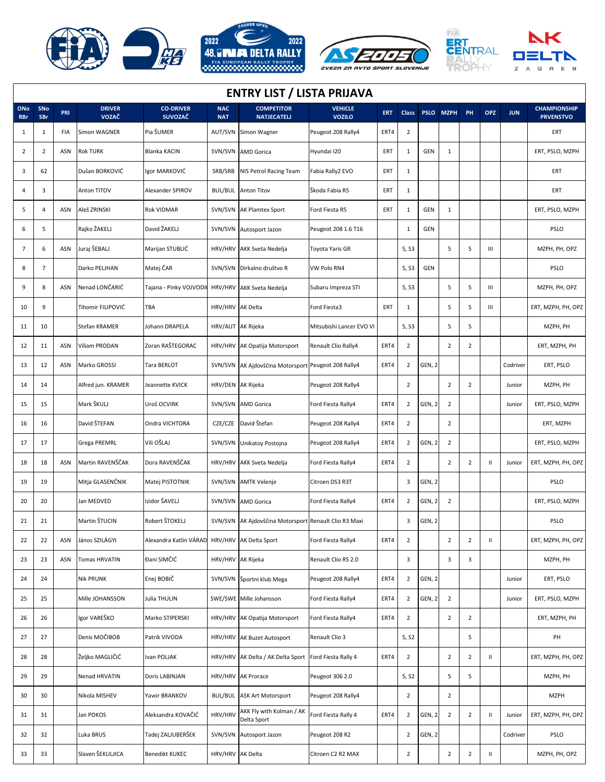







## **ENTRY LIST / LISTA PRIJAVA**

| ONo<br><b>RBr</b> | SNo<br><b>SBr</b> | PRI | <b>DRIVER</b><br>VOZAČ | <b>CO-DRIVER</b><br><b>SUVOZAČ</b>            | <b>NAC</b><br><b>NAT</b> | <b>COMPETITOR</b><br><b>NATJECATELJ</b>               | <b>VEHICLE</b><br><b>VOZILO</b> | <b>ERT</b> | <b>Class</b>            |        | PSLO MZPH      | PH             | <b>OPZ</b>                                                                                   | <b>JUN</b> | <b>CHAMPIONSHIP</b><br><b>PRVENSTVO</b> |
|-------------------|-------------------|-----|------------------------|-----------------------------------------------|--------------------------|-------------------------------------------------------|---------------------------------|------------|-------------------------|--------|----------------|----------------|----------------------------------------------------------------------------------------------|------------|-----------------------------------------|
| 1                 | 1                 | FIA | Simon WAGNER           | Pia ŠUMER                                     |                          | AUT/SVN Simon Wagner                                  | Peugeot 208 Rally4              | ERT4       | $\overline{2}$          |        |                |                |                                                                                              |            | ERT                                     |
| 2                 | $\overline{2}$    | ASN | <b>Rok TURK</b>        | Blanka KACIN                                  |                          | SVN/SVN AMD Gorica                                    | Hyundai I20                     | ERT        | 1                       | GEN    | $\mathbf{1}$   |                |                                                                                              |            | ERT, PSLO, MZPH                         |
| 3                 | 62                |     | Dušan BORKOVIĆ         | Igor MARKOVIĆ                                 | SRB/SRB                  | NIS Petrol Racing Team                                | Fabia Rally2 EVO                | ERT        | 1                       |        |                |                |                                                                                              |            | ERT                                     |
| 4                 | 3                 |     | Anton TITOV            | Alexander SPIROV                              |                          | <b>BUL/BUL</b> Anton Titov                            | Škoda Fabia R5                  | ERT        | 1                       |        |                |                |                                                                                              |            | ERT                                     |
| 5                 | 4                 | ASN | Aleš ZRINSKI           | Rok VIDMAR                                    |                          | SVN/SVN AK Plamtex Sport                              | Ford Fiesta R5                  | ERT        | 1                       | GEN    | $\mathbf{1}$   |                |                                                                                              |            | ERT, PSLO, MZPH                         |
| 6                 | 5                 |     | Rajko ŽAKELJ           | David ŽAKELJ                                  |                          | SVN/SVN Autosport Jazon                               | Peugeot 208 1.6 T16             |            | 1                       | GEN    |                |                |                                                                                              |            | PSLO                                    |
| 7                 | 6                 | ASN | Juraj ŠEBALJ           | Marijan STUBLIĆ                               |                          | HRV/HRV AKK Sveta Nedelja                             | Toyota Yaris GR                 |            | 5, S3                   |        | 5              | 5              | Ш                                                                                            |            | MZPH, PH, OPZ                           |
| 8                 | $\overline{7}$    |     | Darko PELJHAN          | Matej ČAR                                     |                          | SVN/SVN Dirkalno društvo R                            | VW Polo RN4                     |            | 5, S3                   | GEN    |                |                |                                                                                              |            | PSLO                                    |
| 9                 | 8                 | ASN | Nenad LONČARIĆ         | Tajana - Pinky VOJVODI                        |                          | HRV/HRV AKK Sveta Nedelja                             | Subaru Impreza STI              |            | 5, S3                   |        | 5              | 5              | $\mathbf{III}$                                                                               |            | MZPH, PH, OPZ                           |
| 10                | 9                 |     | Tihomir FILIPOVIĆ      | TBA                                           | HRV/HRV AK Delta         |                                                       | Ford Fiesta3                    | ERT        | 1                       |        | 5              | 5              | Ш                                                                                            |            | ERT, MZPH, PH, OPZ                      |
| 11                | 10                |     | Stefan KRAMER          | Johann DRAPELA                                | HRV/AUT AK Rijeka        |                                                       | Mitsubishi Lancer EVO VI        |            | 5, S3                   |        | 5              | 5              |                                                                                              |            | MZPH, PH                                |
| 12                | 11                | ASN | Viliam PRODAN          | Zoran RAŠTEGORAC                              |                          | HRV/HRV AK Opatija Motorsport                         | Renault Clio Rally4             | ERT4       | $\overline{2}$          |        | $\overline{2}$ | $\overline{2}$ |                                                                                              |            | ERT, MZPH, PH                           |
| 13                | 12                | ASN | Marko GROSSI           | Tara BERLOT                                   |                          | SVN/SVN AK Ajdovščina Motorsport Peugeot 208 Rally4   |                                 | ERT4       | 2                       | GEN, 2 |                |                |                                                                                              | Codriver   | ERT, PSLO                               |
| 14                | 14                |     | Alfred jun. KRAMER     | Jeannette KVICK                               | HRV/DEN AK Rijeka        |                                                       | Peugeot 208 Rally4              |            | $\overline{2}$          |        | $\overline{2}$ | $\overline{2}$ |                                                                                              | Junior     | MZPH, PH                                |
| 15                | 15                |     | Mark ŠKULJ             | Uroš OCVIRK                                   |                          | SVN/SVN AMD Gorica                                    | Ford Fiesta Rally4              | ERT4       | $\overline{2}$          | GEN, 2 | $\overline{2}$ |                |                                                                                              | Junior     | ERT, PSLO, MZPH                         |
| 16                | 16                |     | David ŠTEFAN           | Ondra VICHTORA                                |                          | CZE/CZE David Štefan                                  | Peugeot 208 Rally4              | ERT4       | $\overline{2}$          |        | $\overline{2}$ |                |                                                                                              |            | ERT, MZPH                               |
| 17                | 17                |     | <b>Grega PREMRL</b>    | Vili OŠLAJ                                    |                          | SVN/SVN Unikatoy Postojna                             | Peugeot 208 Rally4              | ERT4       | $\overline{2}$          | GEN, 2 | $\overline{2}$ |                |                                                                                              |            | ERT, PSLO, MZPH                         |
| 18                | 18                | ASN | Martin RAVENŠČAK       | Dora RAVENŠČAK                                |                          | HRV/HRV AKK Sveta Nedelja                             | Ford Fiesta Rally4              | ERT4       | $\overline{2}$          |        | $\overline{2}$ | $\overline{2}$ | $\mathbf{H}$                                                                                 | Junior     | ERT, MZPH, PH, OPZ                      |
| 19                | 19                |     | Mitja GLASENČNIK       | Matej PISTOTNIK                               |                          | SVN/SVN AMTK Velenje                                  | Citroen DS3 R3T                 |            | 3                       | GEN, 2 |                |                |                                                                                              |            | PSLO                                    |
| 20                | 20                |     | Jan MEDVED             | Izidor ŠAVELJ                                 |                          | SVN/SVN AMD Gorica                                    | Ford Fiesta Rally4              | ERT4       | $\overline{2}$          | GEN, 2 | $\overline{2}$ |                |                                                                                              |            | ERT, PSLO, MZPH                         |
| 21                | 21                |     | Martin ŠTUCIN          | Robert ŠTOKELJ                                |                          | SVN/SVN AK Ajdovščina Motorsport Renault Clio R3 Maxi |                                 |            | 3                       | GEN, 2 |                |                |                                                                                              |            | PSLO                                    |
| 22                | 22                | ASN | János SZILÁGYI         | Alexandra Katlin VÁRAD HRV/HRV AK Delta Sport |                          |                                                       | Ford Fiesta Rally4              | ERT4       | $\mathbf 2$             |        | $\overline{2}$ | $\overline{2}$ | Ш                                                                                            |            | ERT, MZPH, PH, OPZ                      |
| 23                | 23                | ASN | <b>Tomas HRVATIN</b>   | Đani SIMČIĆ                                   | HRV/HRV AK Rijeka        |                                                       | Renault Clio RS 2.0             |            | 3                       |        | 3              | 3              |                                                                                              |            | MZPH, PH                                |
| 24                | 24                |     | <b>Nik PRUNK</b>       | Enej BOBIČ                                    |                          | SVN/SVN Športni klub Mega                             | Peugeot 208 Rally4              | ERT4       | $\overline{2}$          | GEN, 2 |                |                |                                                                                              | Junior     | ERT, PSLO                               |
| 25                | 25                |     | Mille JOHANSSON        | Julia THULIN                                  |                          | SWE/SWE Mille Johansson                               | Ford Fiesta Rally4              | ERT4       | $\overline{2}$          | GEN, 2 | $\overline{2}$ |                |                                                                                              | Junior     | ERT, PSLO, MZPH                         |
| 26                | 26                |     | Igor VAREŠKO           | Marko STIPERSKI                               |                          | HRV/HRV AK Opatija Motorsport                         | Ford Fiesta Rally4              | ERT4       | $\overline{2}$          |        | $\overline{2}$ | $\overline{2}$ |                                                                                              |            | ERT, MZPH, PH                           |
| 27                | 27                |     | Denis MOČIBOB          | Patrik VIVODA                                 |                          | HRV/HRV AK Buzet Autosport                            | Renault Clio 3                  |            | 5, S2                   |        |                | 5              |                                                                                              |            | PH                                      |
| 28                | 28                |     | Željko MAGLIČIĆ        | Ivan POLJAK                                   |                          | HRV/HRV AK Delta / AK Delta Sport                     | Ford Fiesta Rally 4             | ERT4       | $\overline{2}$          |        | $\overline{2}$ | $\overline{2}$ | Ш                                                                                            |            | ERT, MZPH, PH, OPZ                      |
| 29                | 29                |     | Nenad HRVATIN          | Doris LABINJAN                                |                          | HRV/HRV AK Prorace                                    | Peugeot 306 2.0                 |            | 5, S2                   |        | 5              | 5              |                                                                                              |            | MZPH, PH                                |
| 30                | 30                |     | Nikola MISHEV          | Yavor BRANKOV                                 |                          | <b>BUL/BUL</b> ASK Art Motorsport                     | Peugeot 208 Rally4              |            | $\overline{2}$          |        | $\overline{2}$ |                |                                                                                              |            | <b>MZPH</b>                             |
| 31                | 31                |     | Jan POKOS              | Aleksandra KOVAČIĆ                            | HRV/HRV                  | AKK Fly with Kolman / AK<br>Delta Sport               | Ford Fiesta Rally 4             | ERT4       | $\overline{\mathbf{c}}$ | GEN, 2 | $\overline{2}$ | $\overline{2}$ | $\mathbf{H}$                                                                                 | Junior     | ERT, MZPH, PH, OPZ                      |
| 32                | 32                |     | Luka BRUS              | Tadej ZALJUBERŠEK                             |                          | SVN/SVN Autosport Jazon                               | Peugeot 208 R2                  |            | $\overline{2}$          | GEN, 2 |                |                |                                                                                              | Codriver   | PSLO                                    |
| 33                | 33                |     | Slaven ŠEKULJICA       | Benedikt KUKEC                                | HRV/HRV AK Delta         |                                                       | Citroen C2 R2 MAX               |            | $\overline{2}$          |        | $\overline{2}$ | $\overline{2}$ | $\mathsf{H}% _{0}\left( \mathcal{M}_{0}\right) =\mathsf{H}_{0}\left( \mathcal{M}_{0}\right)$ |            | MZPH, PH, OPZ                           |